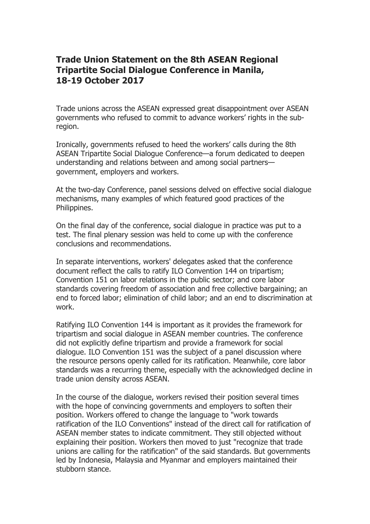## **Trade Union Statement on the 8th ASEAN Regional Tripartite Social Dialogue Conference in Manila, 18-19 October 2017**

Trade unions across the ASEAN expressed great disappointment over ASEAN governments who refused to commit to advance workers' rights in the subregion.

Ironically, governments refused to heed the workers' calls during the 8th ASEAN Tripartite Social Dialogue Conference—a forum dedicated to deepen understanding and relations between and among social partners government, employers and workers.

At the two-day Conference, panel sessions delved on effective social dialogue mechanisms, many examples of which featured good practices of the Philippines.

On the final day of the conference, social dialogue in practice was put to a test. The final plenary session was held to come up with the conference conclusions and recommendations.

In separate interventions, workers' delegates asked that the conference document reflect the calls to ratify ILO Convention 144 on tripartism; Convention 151 on labor relations in the public sector; and core labor standards covering freedom of association and free collective bargaining; an end to forced labor; elimination of child labor; and an end to discrimination at work.

Ratifying ILO Convention 144 is important as it provides the framework for tripartism and social dialogue in ASEAN member countries. The conference did not explicitly define tripartism and provide a framework for social dialogue. ILO Convention 151 was the subject of a panel discussion where the resource persons openly called for its ratification. Meanwhile, core labor standards was a recurring theme, especially with the acknowledged decline in trade union density across ASEAN.

In the course of the dialogue, workers revised their position several times with the hope of convincing governments and employers to soften their position. Workers offered to change the language to "work towards ratification of the ILO Conventions" instead of the direct call for ratification of ASEAN member states to indicate commitment. They still objected without explaining their position. Workers then moved to just "recognize that trade unions are calling for the ratification" of the said standards. But governments led by Indonesia, Malaysia and Myanmar and employers maintained their stubborn stance.